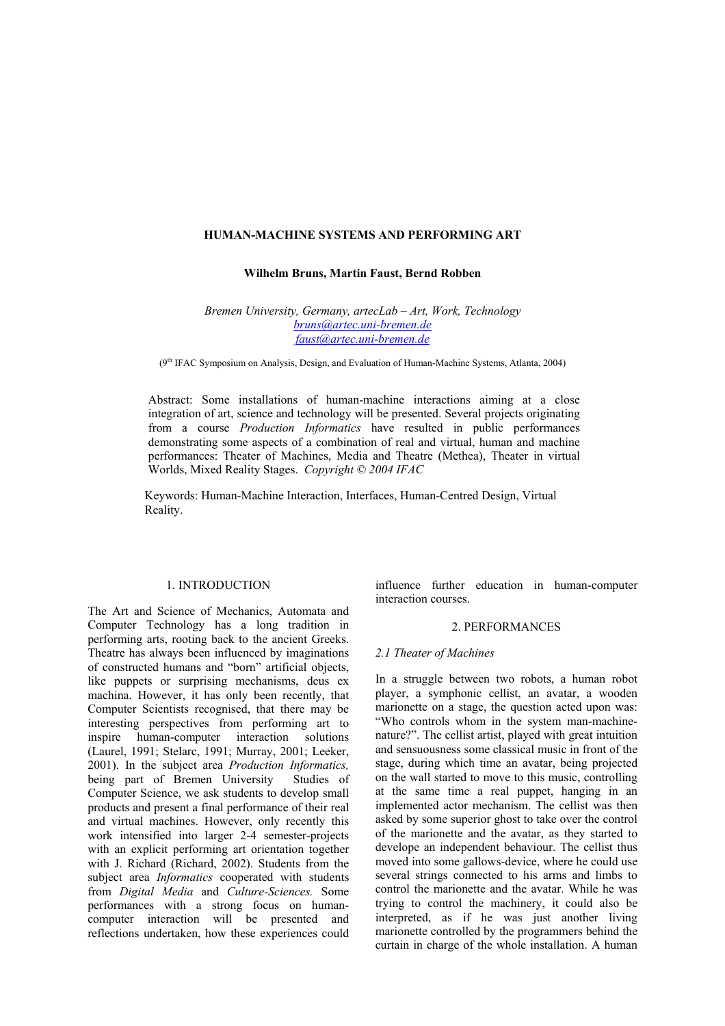#### **HUMAN-MACHINE SYSTEMS AND PERFORMING ART**

**Wilhelm Bruns, Martin Faust, Bernd Robben** 

*Bremen University, Germany, artecLab – Art, Work, Technology bruns@artec.uni-bremen.de faust@artec.uni-bremen.de*

(9<sup>th</sup> IFAC Symposium on Analysis, Design, and Evaluation of Human-Machine Systems, Atlanta, 2004)

Abstract: Some installations of human-machine interactions aiming at a close integration of art, science and technology will be presented. Several projects originating from a course *Production Informatics* have resulted in public performances demonstrating some aspects of a combination of real and virtual, human and machine performances: Theater of Machines, Media and Theatre (Methea), Theater in virtual Worlds, Mixed Reality Stages. *Copyright © 2004 IFAC*

Keywords: Human-Machine Interaction, Interfaces, Human-Centred Design, Virtual Reality.

#### 1. INTRODUCTION

The Art and Science of Mechanics, Automata and Computer Technology has a long tradition in performing arts, rooting back to the ancient Greeks. Theatre has always been influenced by imaginations of constructed humans and "born" artificial objects, like puppets or surprising mechanisms, deus ex machina. However, it has only been recently, that Computer Scientists recognised, that there may be interesting perspectives from performing art to inspire human-computer interaction solutions (Laurel, 1991; Stelarc, 1991; Murray, 2001; Leeker, 2001). In the subject area *Production Informatics,* being part of Bremen University Studies of Computer Science, we ask students to develop small products and present a final performance of their real and virtual machines. However, only recently this work intensified into larger 2-4 semester-projects with an explicit performing art orientation together with J. Richard (Richard, 2002). Students from the subject area *Informatics* cooperated with students from *Digital Media* and *Culture-Sciences.* Some performances with a strong focus on humancomputer interaction will be presented and reflections undertaken, how these experiences could

influence further education in human-computer interaction courses.

#### 2. PERFORMANCES

#### *2.1 Theater of Machines*

In a struggle between two robots, a human robot player, a symphonic cellist, an avatar, a wooden marionette on a stage, the question acted upon was: "Who controls whom in the system man-machinenature?". The cellist artist, played with great intuition and sensuousness some classical music in front of the stage, during which time an avatar, being projected on the wall started to move to this music, controlling at the same time a real puppet, hanging in an implemented actor mechanism. The cellist was then asked by some superior ghost to take over the control of the marionette and the avatar, as they started to develope an independent behaviour. The cellist thus moved into some gallows-device, where he could use several strings connected to his arms and limbs to control the marionette and the avatar. While he was trying to control the machinery, it could also be interpreted, as if he was just another living marionette controlled by the programmers behind the curtain in charge of the whole installation. A human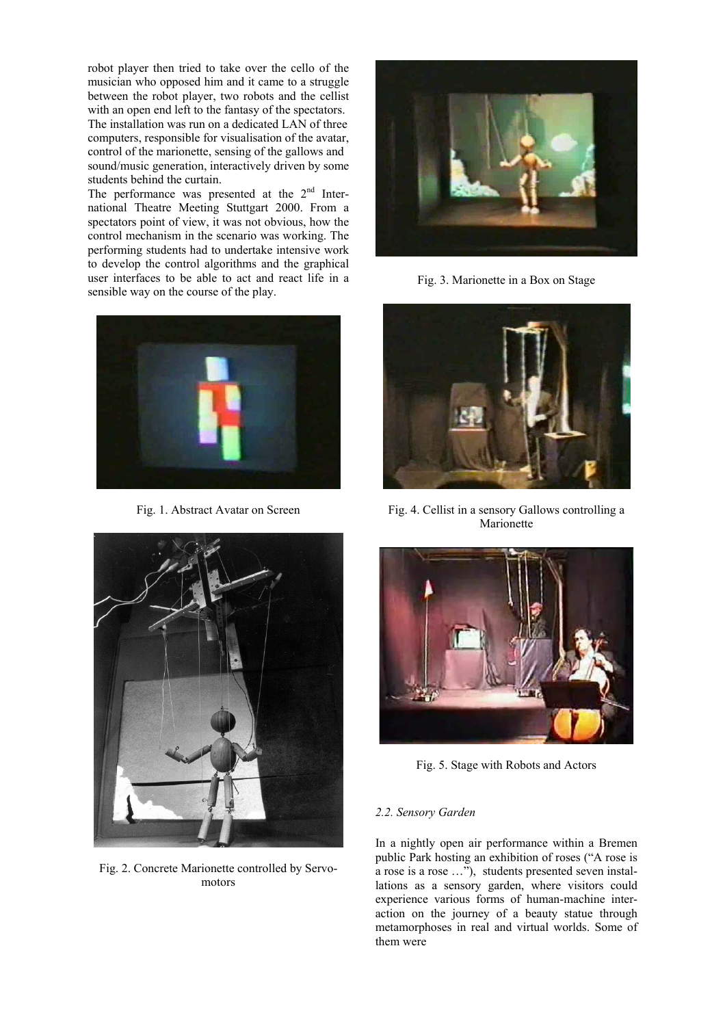robot player then tried to take over the cello of the musician who opposed him and it came to a struggle between the robot player, two robots and the cellist with an open end left to the fantasy of the spectators. The installation was run on a dedicated LAN of three computers, responsible for visualisation of the avatar, control of the marionette, sensing of the gallows and sound/music generation, interactively driven by some students behind the curtain.

The performance was presented at the  $2<sup>nd</sup>$  International Theatre Meeting Stuttgart 2000. From a spectators point of view, it was not obvious, how the control mechanism in the scenario was working. The performing students had to undertake intensive work to develop the control algorithms and the graphical user interfaces to be able to act and react life in a sensible way on the course of the play.



Fig. 1. Abstract Avatar on Screen



Fig. 2. Concrete Marionette controlled by Servomotors



Fig. 3. Marionette in a Box on Stage



Fig. 4. Cellist in a sensory Gallows controlling a Marionette



Fig. 5. Stage with Robots and Actors

## *2.2. Sensory Garden*

In a nightly open air performance within a Bremen public Park hosting an exhibition of roses ("A rose is a rose is a rose …"), students presented seven installations as a sensory garden, where visitors could experience various forms of human-machine interaction on the journey of a beauty statue through metamorphoses in real and virtual worlds. Some of them were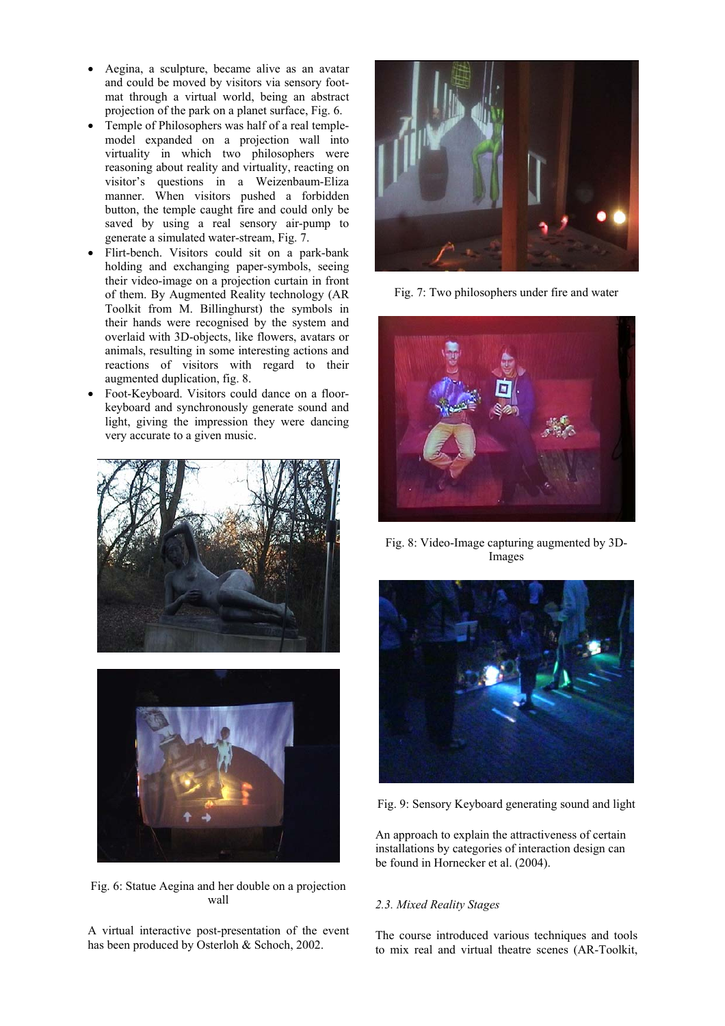- Aegina, a sculpture, became alive as an avatar and could be moved by visitors via sensory footmat through a virtual world, being an abstract projection of the park on a planet surface, Fig. 6.
- Temple of Philosophers was half of a real templemodel expanded on a projection wall into virtuality in which two philosophers were reasoning about reality and virtuality, reacting on visitor's questions in a Weizenbaum-Eliza manner. When visitors pushed a forbidden button, the temple caught fire and could only be saved by using a real sensory air-pump to generate a simulated water-stream, Fig. 7.
- Flirt-bench. Visitors could sit on a park-bank holding and exchanging paper-symbols, seeing their video-image on a projection curtain in front of them. By Augmented Reality technology (AR Toolkit from M. Billinghurst) the symbols in their hands were recognised by the system and overlaid with 3D-objects, like flowers, avatars or animals, resulting in some interesting actions and reactions of visitors with regard to their augmented duplication, fig. 8.
- Foot-Keyboard. Visitors could dance on a floorkeyboard and synchronously generate sound and light, giving the impression they were dancing very accurate to a given music.





Fig. 6: Statue Aegina and her double on a projection wall

A virtual interactive post-presentation of the event has been produced by Osterloh & Schoch, 2002.



Fig. 7: Two philosophers under fire and water



Fig. 8: Video-Image capturing augmented by 3D-Images



Fig. 9: Sensory Keyboard generating sound and light

An approach to explain the attractiveness of certain installations by categories of interaction design can be found in Hornecker et al. (2004).

## *2.3. Mixed Reality Stages*

The course introduced various techniques and tools to mix real and virtual theatre scenes (AR-Toolkit,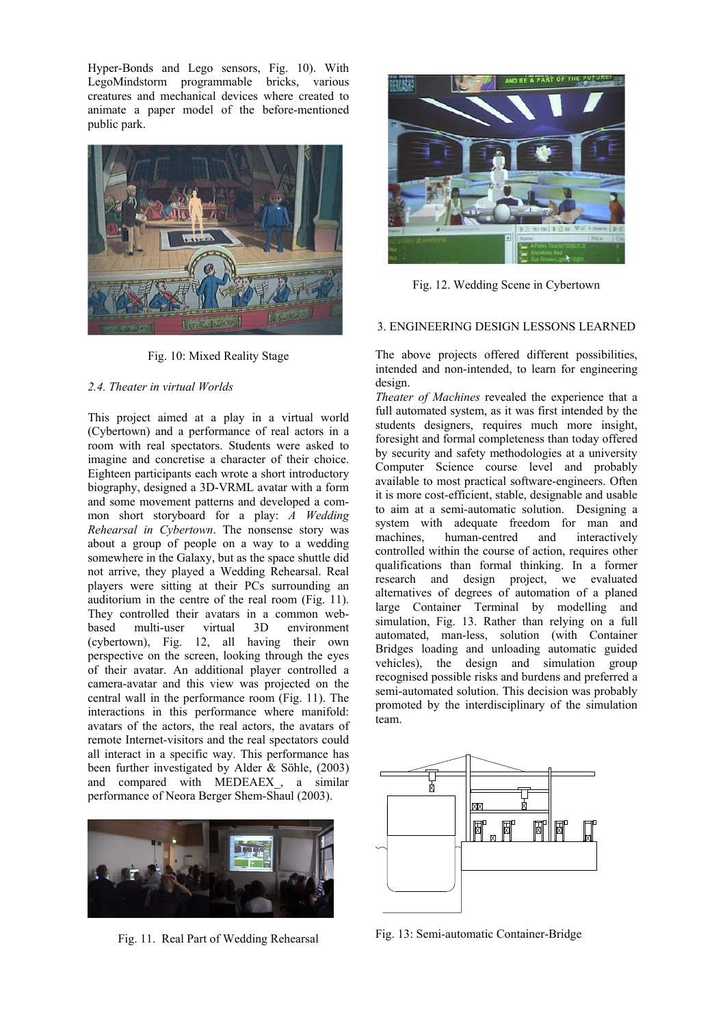Hyper-Bonds and Lego sensors, Fig. 10). With LegoMindstorm programmable bricks, various creatures and mechanical devices where created to animate a paper model of the before-mentioned public park.



Fig. 10: Mixed Reality Stage

## *2.4. Theater in virtual Worlds*

This project aimed at a play in a virtual world (Cybertown) and a performance of real actors in a room with real spectators. Students were asked to imagine and concretise a character of their choice. Eighteen participants each wrote a short introductory biography, designed a 3D-VRML avatar with a form and some movement patterns and developed a common short storyboard for a play: *A Wedding Rehearsal in Cybertown*. The nonsense story was about a group of people on a way to a wedding somewhere in the Galaxy, but as the space shuttle did not arrive, they played a Wedding Rehearsal. Real players were sitting at their PCs surrounding an auditorium in the centre of the real room (Fig. 11). They controlled their avatars in a common webbased multi-user virtual 3D environment (cybertown), Fig. 12, all having their own perspective on the screen, looking through the eyes of their avatar. An additional player controlled a camera-avatar and this view was projected on the central wall in the performance room (Fig. 11). The interactions in this performance where manifold: avatars of the actors, the real actors, the avatars of remote Internet-visitors and the real spectators could all interact in a specific way. This performance has been further investigated by Alder & Söhle, (2003) and compared with MEDEAEX\_, a similar performance of Neora Berger Shem-Shaul (2003).



Fig. 11. Real Part of Wedding Rehearsal



Fig. 12. Wedding Scene in Cybertown

# 3. ENGINEERING DESIGN LESSONS LEARNED

The above projects offered different possibilities, intended and non-intended, to learn for engineering design.

*Theater of Machines* revealed the experience that a full automated system, as it was first intended by the students designers, requires much more insight, foresight and formal completeness than today offered by security and safety methodologies at a university Computer Science course level and probably available to most practical software-engineers. Often it is more cost-efficient, stable, designable and usable to aim at a semi-automatic solution. Designing a system with adequate freedom for man and machines, human-centred and interactively controlled within the course of action, requires other qualifications than formal thinking. In a former research and design project, we evaluated alternatives of degrees of automation of a planed large Container Terminal by modelling and simulation, Fig. 13. Rather than relying on a full automated, man-less, solution (with Container Bridges loading and unloading automatic guided vehicles), the design and simulation group recognised possible risks and burdens and preferred a semi-automated solution. This decision was probably promoted by the interdisciplinary of the simulation team.



Fig. 13: Semi-automatic Container-Bridge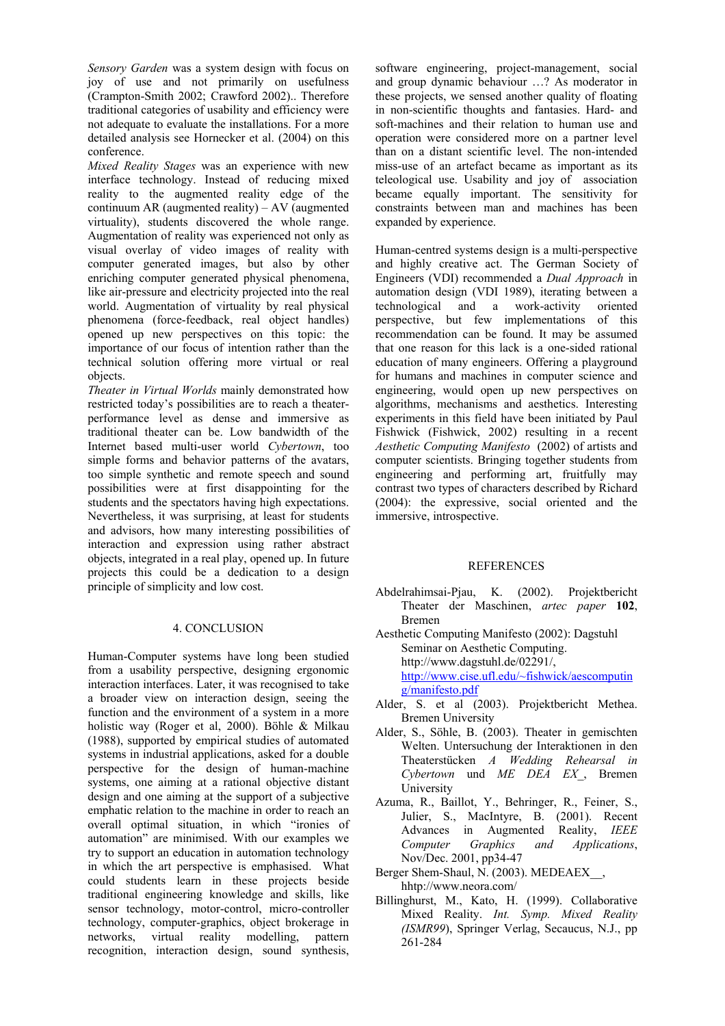*Sensory Garden* was a system design with focus on joy of use and not primarily on usefulness (Crampton-Smith 2002; Crawford 2002).. Therefore traditional categories of usability and efficiency were not adequate to evaluate the installations. For a more detailed analysis see Hornecker et al. (2004) on this conference.

*Mixed Reality Stages* was an experience with new interface technology. Instead of reducing mixed reality to the augmented reality edge of the continuum AR (augmented reality) –  $AV$  (augmented virtuality), students discovered the whole range. Augmentation of reality was experienced not only as visual overlay of video images of reality with computer generated images, but also by other enriching computer generated physical phenomena, like air-pressure and electricity projected into the real world. Augmentation of virtuality by real physical phenomena (force-feedback, real object handles) opened up new perspectives on this topic: the importance of our focus of intention rather than the technical solution offering more virtual or real objects.

*Theater in Virtual Worlds* mainly demonstrated how restricted today's possibilities are to reach a theaterperformance level as dense and immersive as traditional theater can be. Low bandwidth of the Internet based multi-user world *Cybertown*, too simple forms and behavior patterns of the avatars, too simple synthetic and remote speech and sound possibilities were at first disappointing for the students and the spectators having high expectations. Nevertheless, it was surprising, at least for students and advisors, how many interesting possibilities of interaction and expression using rather abstract objects, integrated in a real play, opened up. In future projects this could be a dedication to a design principle of simplicity and low cost.

## 4. CONCLUSION

Human-Computer systems have long been studied from a usability perspective, designing ergonomic interaction interfaces. Later, it was recognised to take a broader view on interaction design, seeing the function and the environment of a system in a more holistic way (Roger et al, 2000). Böhle & Milkau (1988), supported by empirical studies of automated systems in industrial applications, asked for a double perspective for the design of human-machine systems, one aiming at a rational objective distant design and one aiming at the support of a subjective emphatic relation to the machine in order to reach an overall optimal situation, in which "ironies of automation" are minimised. With our examples we try to support an education in automation technology in which the art perspective is emphasised. What could students learn in these projects beside traditional engineering knowledge and skills, like sensor technology, motor-control, micro-controller technology, computer-graphics, object brokerage in networks, virtual reality modelling, pattern recognition, interaction design, sound synthesis,

software engineering, project-management, social and group dynamic behaviour …? As moderator in these projects, we sensed another quality of floating in non-scientific thoughts and fantasies. Hard- and soft-machines and their relation to human use and operation were considered more on a partner level than on a distant scientific level. The non-intended miss-use of an artefact became as important as its teleological use. Usability and joy of association became equally important. The sensitivity for constraints between man and machines has been expanded by experience.

Human-centred systems design is a multi-perspective and highly creative act. The German Society of Engineers (VDI) recommended a *Dual Approach* in automation design (VDI 1989), iterating between a technological and a work-activity oriented perspective, but few implementations of this recommendation can be found. It may be assumed that one reason for this lack is a one-sided rational education of many engineers. Offering a playground for humans and machines in computer science and engineering, would open up new perspectives on algorithms, mechanisms and aesthetics. Interesting experiments in this field have been initiated by Paul Fishwick (Fishwick, 2002) resulting in a recent *Aesthetic Computing Manifesto* (2002) of artists and computer scientists. Bringing together students from engineering and performing art, fruitfully may contrast two types of characters described by Richard (2004): the expressive, social oriented and the immersive, introspective.

## REFERENCES

- Abdelrahimsai-Pjau, K. (2002). Projektbericht Theater der Maschinen, *artec paper* **102**, Bremen
- Aesthetic Computing Manifesto (2002): Dagstuhl Seminar on Aesthetic Computing. http://www.dagstuhl.de/02291/, http://www.cise.ufl.edu/~fishwick/aescomputin g/manifesto.pdf
- Alder, S. et al (2003). Projektbericht Methea. Bremen University
- Alder, S., Söhle, B. (2003). Theater in gemischten Welten. Untersuchung der Interaktionen in den Theaterstücken *A Wedding Rehearsal in Cybertown* und *ME DEA EX*\_, Bremen University
- Azuma, R., Baillot, Y., Behringer, R., Feiner, S., Julier, S., MacIntyre, B. (2001). Recent Advances in Augmented Reality, *IEEE Computer Graphics and Applications*, Nov/Dec. 2001, pp34-47
- Berger Shem-Shaul, N. (2003). MEDEAEX\_\_, hhtp://www.neora.com/
- Billinghurst, M., Kato, H. (1999). Collaborative Mixed Reality. *Int. Symp. Mixed Reality (ISMR99*), Springer Verlag, Secaucus, N.J., pp 261-284